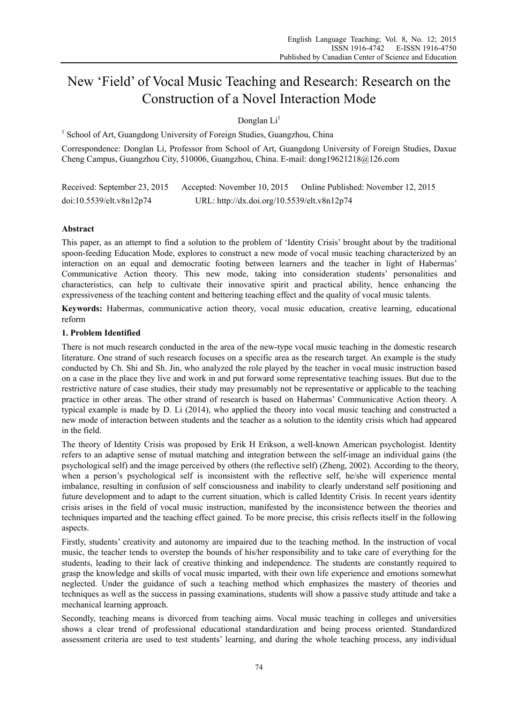# New 'Field' of Vocal Music Teaching and Research: Research on the Construction of a Novel Interaction Mode

Donglan Li<sup>1</sup>

<sup>1</sup> School of Art, Guangdong University of Foreign Studies, Guangzhou, China

Correspondence: Donglan Li, Professor from School of Art, Guangdong University of Foreign Studies, Daxue Cheng Campus, Guangzhou City, 510006, Guangzhou, China. E-mail: dong19621218@126.com

Received: September 23, 2015 Accepted: November 10, 2015 Online Published: November 12, 2015 doi:10.5539/elt.v8n12p74 URL: http://dx.doi.org/10.5539/elt.v8n12p74

# **Abstract**

This paper, as an attempt to find a solution to the problem of 'Identity Crisis' brought about by the traditional spoon-feeding Education Mode, explores to construct a new mode of vocal music teaching characterized by an interaction on an equal and democratic footing between learners and the teacher in light of Habermas' Communicative Action theory. This new mode, taking into consideration students' personalities and characteristics, can help to cultivate their innovative spirit and practical ability, hence enhancing the expressiveness of the teaching content and bettering teaching effect and the quality of vocal music talents.

**Keywords:** Habermas, communicative action theory, vocal music education, creative learning, educational reform

## **1. Problem Identified**

There is not much research conducted in the area of the new-type vocal music teaching in the domestic research literature. One strand of such research focuses on a specific area as the research target. An example is the study conducted by Ch. Shi and Sh. Jin, who analyzed the role played by the teacher in vocal music instruction based on a case in the place they live and work in and put forward some representative teaching issues. But due to the restrictive nature of case studies, their study may presumably not be representative or applicable to the teaching practice in other areas. The other strand of research is based on Habermas' Communicative Action theory. A typical example is made by D. Li (2014), who applied the theory into vocal music teaching and constructed a new mode of interaction between students and the teacher as a solution to the identity crisis which had appeared in the field.

The theory of Identity Crisis was proposed by Erik H Erikson, a well-known American psychologist. Identity refers to an adaptive sense of mutual matching and integration between the self-image an individual gains (the psychological self) and the image perceived by others (the reflective self) (Zheng, 2002). According to the theory, when a person's psychological self is inconsistent with the reflective self, he/she will experience mental imbalance, resulting in confusion of self consciousness and inability to clearly understand self positioning and future development and to adapt to the current situation, which is called Identity Crisis. In recent years identity crisis arises in the field of vocal music instruction, manifested by the inconsistence between the theories and techniques imparted and the teaching effect gained. To be more precise, this crisis reflects itself in the following aspects.

Firstly, students' creativity and autonomy are impaired due to the teaching method. In the instruction of vocal music, the teacher tends to overstep the bounds of his/her responsibility and to take care of everything for the students, leading to their lack of creative thinking and independence. The students are constantly required to grasp the knowledge and skills of vocal music imparted, with their own life experience and emotions somewhat neglected. Under the guidance of such a teaching method which emphasizes the mastery of theories and techniques as well as the success in passing examinations, students will show a passive study attitude and take a mechanical learning approach.

Secondly, teaching means is divorced from teaching aims. Vocal music teaching in colleges and universities shows a clear trend of professional educational standardization and being process oriented. Standardized assessment criteria are used to test students' learning, and during the whole teaching process, any individual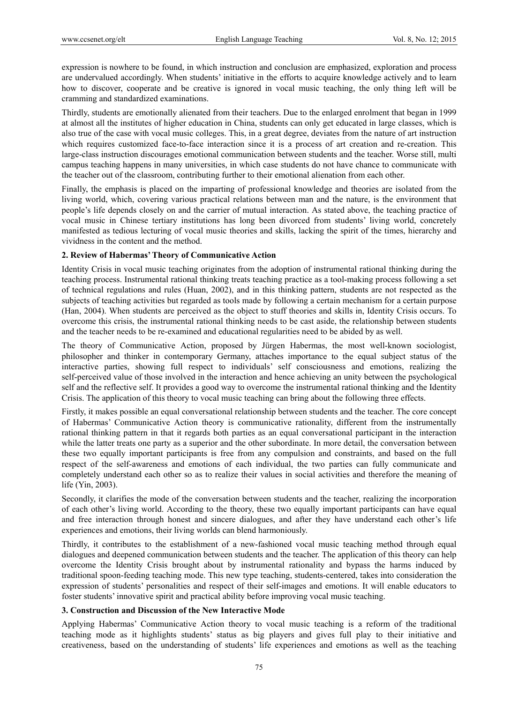expression is nowhere to be found, in which instruction and conclusion are emphasized, exploration and process are undervalued accordingly. When students' initiative in the efforts to acquire knowledge actively and to learn how to discover, cooperate and be creative is ignored in vocal music teaching, the only thing left will be cramming and standardized examinations.

Thirdly, students are emotionally alienated from their teachers. Due to the enlarged enrolment that began in 1999 at almost all the institutes of higher education in China, students can only get educated in large classes, which is also true of the case with vocal music colleges. This, in a great degree, deviates from the nature of art instruction which requires customized face-to-face interaction since it is a process of art creation and re-creation. This large-class instruction discourages emotional communication between students and the teacher. Worse still, multi campus teaching happens in many universities, in which case students do not have chance to communicate with the teacher out of the classroom, contributing further to their emotional alienation from each other.

Finally, the emphasis is placed on the imparting of professional knowledge and theories are isolated from the living world, which, covering various practical relations between man and the nature, is the environment that people's life depends closely on and the carrier of mutual interaction. As stated above, the teaching practice of vocal music in Chinese tertiary institutions has long been divorced from students' living world, concretely manifested as tedious lecturing of vocal music theories and skills, lacking the spirit of the times, hierarchy and vividness in the content and the method.

## **2. Review of Habermas' Theory of Communicative Action**

Identity Crisis in vocal music teaching originates from the adoption of instrumental rational thinking during the teaching process. Instrumental rational thinking treats teaching practice as a tool-making process following a set of technical regulations and rules (Huan, 2002), and in this thinking pattern, students are not respected as the subjects of teaching activities but regarded as tools made by following a certain mechanism for a certain purpose (Han, 2004). When students are perceived as the object to stuff theories and skills in, Identity Crisis occurs. To overcome this crisis, the instrumental rational thinking needs to be cast aside, the relationship between students and the teacher needs to be re-examined and educational regularities need to be abided by as well.

The theory of Communicative Action, proposed by Jürgen Habermas, the most well-known sociologist, philosopher and thinker in contemporary Germany, attaches importance to the equal subject status of the interactive parties, showing full respect to individuals' self consciousness and emotions, realizing the self-perceived value of those involved in the interaction and hence achieving an unity between the psychological self and the reflective self. It provides a good way to overcome the instrumental rational thinking and the Identity Crisis. The application of this theory to vocal music teaching can bring about the following three effects.

Firstly, it makes possible an equal conversational relationship between students and the teacher. The core concept of Habermas' Communicative Action theory is communicative rationality, different from the instrumentally rational thinking pattern in that it regards both parties as an equal conversational participant in the interaction while the latter treats one party as a superior and the other subordinate. In more detail, the conversation between these two equally important participants is free from any compulsion and constraints, and based on the full respect of the self-awareness and emotions of each individual, the two parties can fully communicate and completely understand each other so as to realize their values in social activities and therefore the meaning of life (Yin, 2003).

Secondly, it clarifies the mode of the conversation between students and the teacher, realizing the incorporation of each other's living world. According to the theory, these two equally important participants can have equal and free interaction through honest and sincere dialogues, and after they have understand each other's life experiences and emotions, their living worlds can blend harmoniously.

Thirdly, it contributes to the establishment of a new-fashioned vocal music teaching method through equal dialogues and deepened communication between students and the teacher. The application of this theory can help overcome the Identity Crisis brought about by instrumental rationality and bypass the harms induced by traditional spoon-feeding teaching mode. This new type teaching, students-centered, takes into consideration the expression of students' personalities and respect of their self-images and emotions. It will enable educators to foster students' innovative spirit and practical ability before improving vocal music teaching.

## **3. Construction and Discussion of the New Interactive Mode**

Applying Habermas' Communicative Action theory to vocal music teaching is a reform of the traditional teaching mode as it highlights students' status as big players and gives full play to their initiative and creativeness, based on the understanding of students' life experiences and emotions as well as the teaching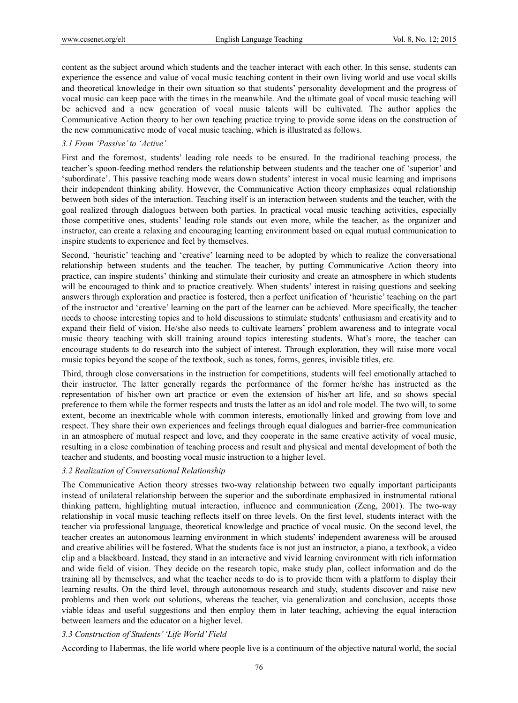content as the subject around which students and the teacher interact with each other. In this sense, students can experience the essence and value of vocal music teaching content in their own living world and use vocal skills and theoretical knowledge in their own situation so that students' personality development and the progress of vocal music can keep pace with the times in the meanwhile. And the ultimate goal of vocal music teaching will be achieved and a new generation of vocal music talents will be cultivated. The author applies the Communicative Action theory to her own teaching practice trying to provide some ideas on the construction of the new communicative mode of vocal music teaching, which is illustrated as follows.

#### *3.1 From 'Passive' to 'Active'*

First and the foremost, students' leading role needs to be ensured. In the traditional teaching process, the teacher's spoon-feeding method renders the relationship between students and the teacher one of 'superior' and 'subordinate'. This passive teaching mode wears down students' interest in vocal music learning and imprisons their independent thinking ability. However, the Communicative Action theory emphasizes equal relationship between both sides of the interaction. Teaching itself is an interaction between students and the teacher, with the goal realized through dialogues between both parties. In practical vocal music teaching activities, especially those competitive ones, students' leading role stands out even more, while the teacher, as the organizer and instructor, can create a relaxing and encouraging learning environment based on equal mutual communication to inspire students to experience and feel by themselves.

Second, 'heuristic' teaching and 'creative' learning need to be adopted by which to realize the conversational relationship between students and the teacher. The teacher, by putting Communicative Action theory into practice, can inspire students' thinking and stimulate their curiosity and create an atmosphere in which students will be encouraged to think and to practice creatively. When students' interest in raising questions and seeking answers through exploration and practice is fostered, then a perfect unification of 'heuristic' teaching on the part of the instructor and 'creative' learning on the part of the learner can be achieved. More specifically, the teacher needs to choose interesting topics and to hold discussions to stimulate students' enthusiasm and creativity and to expand their field of vision. He/she also needs to cultivate learners' problem awareness and to integrate vocal music theory teaching with skill training around topics interesting students. What's more, the teacher can encourage students to do research into the subject of interest. Through exploration, they will raise more vocal music topics beyond the scope of the textbook, such as tones, forms, genres, invisible titles, etc.

Third, through close conversations in the instruction for competitions, students will feel emotionally attached to their instructor. The latter generally regards the performance of the former he/she has instructed as the representation of his/her own art practice or even the extension of his/her art life, and so shows special preference to them while the former respects and trusts the latter as an idol and role model. The two will, to some extent, become an inextricable whole with common interests, emotionally linked and growing from love and respect. They share their own experiences and feelings through equal dialogues and barrier-free communication in an atmosphere of mutual respect and love, and they cooperate in the same creative activity of vocal music, resulting in a close combination of teaching process and result and physical and mental development of both the teacher and students, and boosting vocal music instruction to a higher level.

## *3.2 Realization of Conversational Relationship*

The Communicative Action theory stresses two-way relationship between two equally important participants instead of unilateral relationship between the superior and the subordinate emphasized in instrumental rational thinking pattern, highlighting mutual interaction, influence and communication (Zeng, 2001). The two-way relationship in vocal music teaching reflects itself on three levels. On the first level, students interact with the teacher via professional language, theoretical knowledge and practice of vocal music. On the second level, the teacher creates an autonomous learning environment in which students' independent awareness will be aroused and creative abilities will be fostered. What the students face is not just an instructor, a piano, a textbook, a video clip and a blackboard. Instead, they stand in an interactive and vivid learning environment with rich information and wide field of vision. They decide on the research topic, make study plan, collect information and do the training all by themselves, and what the teacher needs to do is to provide them with a platform to display their learning results. On the third level, through autonomous research and study, students discover and raise new problems and then work out solutions, whereas the teacher, via generalization and conclusion, accepts those viable ideas and useful suggestions and then employ them in later teaching, achieving the equal interaction between learners and the educator on a higher level.

## *3.3 Construction of Students' 'Life World' Field*

According to Habermas, the life world where people live is a continuum of the objective natural world, the social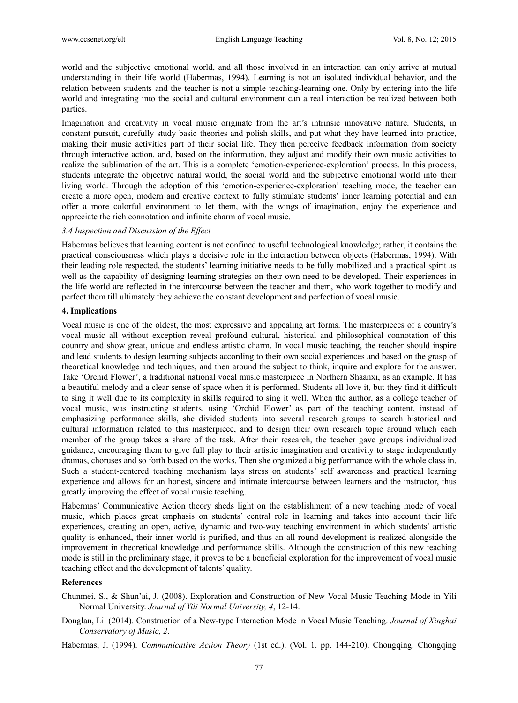world and the subjective emotional world, and all those involved in an interaction can only arrive at mutual understanding in their life world (Habermas, 1994). Learning is not an isolated individual behavior, and the relation between students and the teacher is not a simple teaching-learning one. Only by entering into the life world and integrating into the social and cultural environment can a real interaction be realized between both parties.

Imagination and creativity in vocal music originate from the art's intrinsic innovative nature. Students, in constant pursuit, carefully study basic theories and polish skills, and put what they have learned into practice, making their music activities part of their social life. They then perceive feedback information from society through interactive action, and, based on the information, they adjust and modify their own music activities to realize the sublimation of the art. This is a complete 'emotion-experience-exploration' process. In this process, students integrate the objective natural world, the social world and the subjective emotional world into their living world. Through the adoption of this 'emotion-experience-exploration' teaching mode, the teacher can create a more open, modern and creative context to fully stimulate students' inner learning potential and can offer a more colorful environment to let them, with the wings of imagination, enjoy the experience and appreciate the rich connotation and infinite charm of vocal music.

#### *3.4 Inspection and Discussion of the Effect*

Habermas believes that learning content is not confined to useful technological knowledge; rather, it contains the practical consciousness which plays a decisive role in the interaction between objects (Habermas, 1994). With their leading role respected, the students' learning initiative needs to be fully mobilized and a practical spirit as well as the capability of designing learning strategies on their own need to be developed. Their experiences in the life world are reflected in the intercourse between the teacher and them, who work together to modify and perfect them till ultimately they achieve the constant development and perfection of vocal music.

## **4. Implications**

Vocal music is one of the oldest, the most expressive and appealing art forms. The masterpieces of a country's vocal music all without exception reveal profound cultural, historical and philosophical connotation of this country and show great, unique and endless artistic charm. In vocal music teaching, the teacher should inspire and lead students to design learning subjects according to their own social experiences and based on the grasp of theoretical knowledge and techniques, and then around the subject to think, inquire and explore for the answer. Take 'Orchid Flower', a traditional national vocal music masterpiece in Northern Shaanxi, as an example. It has a beautiful melody and a clear sense of space when it is performed. Students all love it, but they find it difficult to sing it well due to its complexity in skills required to sing it well. When the author, as a college teacher of vocal music, was instructing students, using 'Orchid Flower' as part of the teaching content, instead of emphasizing performance skills, she divided students into several research groups to search historical and cultural information related to this masterpiece, and to design their own research topic around which each member of the group takes a share of the task. After their research, the teacher gave groups individualized guidance, encouraging them to give full play to their artistic imagination and creativity to stage independently dramas, choruses and so forth based on the works. Then she organized a big performance with the whole class in. Such a student-centered teaching mechanism lays stress on students' self awareness and practical learning experience and allows for an honest, sincere and intimate intercourse between learners and the instructor, thus greatly improving the effect of vocal music teaching.

Habermas' Communicative Action theory sheds light on the establishment of a new teaching mode of vocal music, which places great emphasis on students' central role in learning and takes into account their life experiences, creating an open, active, dynamic and two-way teaching environment in which students' artistic quality is enhanced, their inner world is purified, and thus an all-round development is realized alongside the improvement in theoretical knowledge and performance skills. Although the construction of this new teaching mode is still in the preliminary stage, it proves to be a beneficial exploration for the improvement of vocal music teaching effect and the development of talents' quality.

#### **References**

Chunmei, S., & Shun'ai, J. (2008). Exploration and Construction of New Vocal Music Teaching Mode in Yili Normal University. *Journal of Yili Normal University, 4*, 12-14.

- Donglan, Li. (2014). Construction of a New-type Interaction Mode in Vocal Music Teaching. *Journal of Xinghai Conservatory of Music, 2*.
- Habermas, J. (1994). *Communicative Action Theory* (1st ed.). (Vol. 1. pp. 144-210). Chongqing: Chongqing